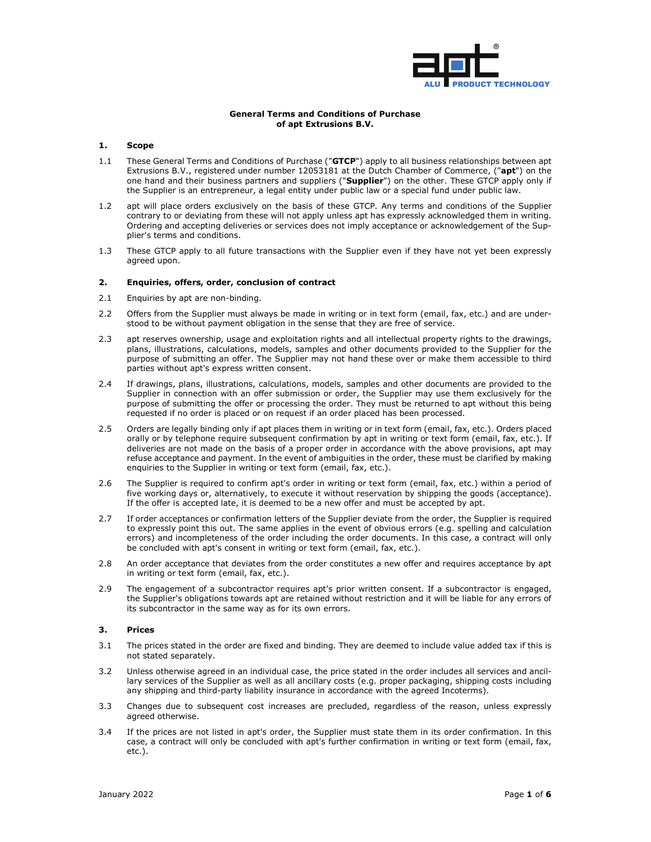

### **General Terms and Conditions of Purchase of apt Extrusions B.V.**

#### **1. Scope**

- 1.1 These General Terms and Conditions of Purchase ("**GTCP**") apply to all business relationships between apt Extrusions B.V., registered under number 12053181 at the Dutch Chamber of Commerce, ("**apt**") on the one hand and their business partners and suppliers ("**Supplier**") on the other. These GTCP apply only if the Supplier is an entrepreneur, a legal entity under public law or a special fund under public law.
- 1.2 apt will place orders exclusively on the basis of these GTCP. Any terms and conditions of the Supplier contrary to or deviating from these will not apply unless apt has expressly acknowledged them in writing. Ordering and accepting deliveries or services does not imply acceptance or acknowledgement of the Supplier's terms and conditions.
- 1.3 These GTCP apply to all future transactions with the Supplier even if they have not yet been expressly agreed upon.

## **2. Enquiries, offers, order, conclusion of contract**

- 2.1 Enquiries by apt are non-binding.
- 2.2 Offers from the Supplier must always be made in writing or in text form (email, fax, etc.) and are understood to be without payment obligation in the sense that they are free of service.
- 2.3 apt reserves ownership, usage and exploitation rights and all intellectual property rights to the drawings, plans, illustrations, calculations, models, samples and other documents provided to the Supplier for the purpose of submitting an offer. The Supplier may not hand these over or make them accessible to third parties without apt's express written consent.
- 2.4 If drawings, plans, illustrations, calculations, models, samples and other documents are provided to the Supplier in connection with an offer submission or order, the Supplier may use them exclusively for the purpose of submitting the offer or processing the order. They must be returned to apt without this being requested if no order is placed or on request if an order placed has been processed.
- 2.5 Orders are legally binding only if apt places them in writing or in text form (email, fax, etc.). Orders placed orally or by telephone require subsequent confirmation by apt in writing or text form (email, fax, etc.). If deliveries are not made on the basis of a proper order in accordance with the above provisions, apt may refuse acceptance and payment. In the event of ambiguities in the order, these must be clarified by making enquiries to the Supplier in writing or text form (email, fax, etc.).
- 2.6 The Supplier is required to confirm apt's order in writing or text form (email, fax, etc.) within a period of five working days or, alternatively, to execute it without reservation by shipping the goods (acceptance). If the offer is accepted late, it is deemed to be a new offer and must be accepted by apt.
- 2.7 If order acceptances or confirmation letters of the Supplier deviate from the order, the Supplier is required to expressly point this out. The same applies in the event of obvious errors (e.g. spelling and calculation errors) and incompleteness of the order including the order documents. In this case, a contract will only be concluded with apt's consent in writing or text form (email, fax, etc.).
- 2.8 An order acceptance that deviates from the order constitutes a new offer and requires acceptance by apt in writing or text form (email, fax, etc.).
- 2.9 The engagement of a subcontractor requires apt's prior written consent. If a subcontractor is engaged, the Supplier's obligations towards apt are retained without restriction and it will be liable for any errors of its subcontractor in the same way as for its own errors.

# **3. Prices**

- 3.1 The prices stated in the order are fixed and binding. They are deemed to include value added tax if this is not stated separately.
- 3.2 Unless otherwise agreed in an individual case, the price stated in the order includes all services and ancillary services of the Supplier as well as all ancillary costs (e.g. proper packaging, shipping costs including any shipping and third-party liability insurance in accordance with the agreed Incoterms).
- 3.3 Changes due to subsequent cost increases are precluded, regardless of the reason, unless expressly agreed otherwise.
- 3.4 If the prices are not listed in apt's order, the Supplier must state them in its order confirmation. In this case, a contract will only be concluded with apt's further confirmation in writing or text form (email, fax, etc.).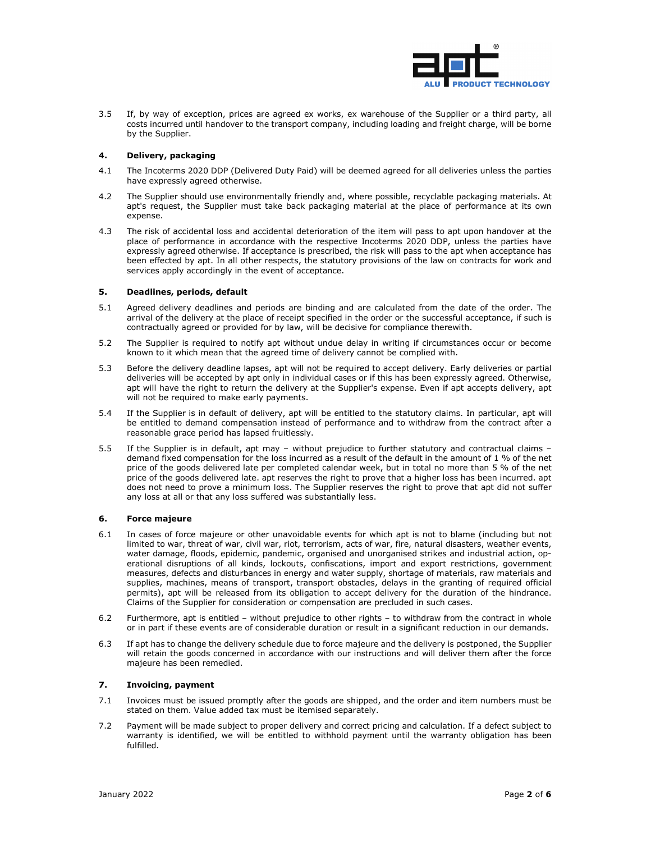

3.5 If, by way of exception, prices are agreed ex works, ex warehouse of the Supplier or a third party, all costs incurred until handover to the transport company, including loading and freight charge, will be borne by the Supplier.

### **4. Delivery, packaging**

- 4.1 The Incoterms 2020 DDP (Delivered Duty Paid) will be deemed agreed for all deliveries unless the parties have expressly agreed otherwise.
- 4.2 The Supplier should use environmentally friendly and, where possible, recyclable packaging materials. At apt's request, the Supplier must take back packaging material at the place of performance at its own expense.
- 4.3 The risk of accidental loss and accidental deterioration of the item will pass to apt upon handover at the place of performance in accordance with the respective Incoterms 2020 DDP, unless the parties have expressly agreed otherwise. If acceptance is prescribed, the risk will pass to the apt when acceptance has been effected by apt. In all other respects, the statutory provisions of the law on contracts for work and services apply accordingly in the event of acceptance.

### **5. Deadlines, periods, default**

- 5.1 Agreed delivery deadlines and periods are binding and are calculated from the date of the order. The arrival of the delivery at the place of receipt specified in the order or the successful acceptance, if such is contractually agreed or provided for by law, will be decisive for compliance therewith.
- 5.2 The Supplier is required to notify apt without undue delay in writing if circumstances occur or become known to it which mean that the agreed time of delivery cannot be complied with.
- 5.3 Before the delivery deadline lapses, apt will not be required to accept delivery. Early deliveries or partial deliveries will be accepted by apt only in individual cases or if this has been expressly agreed. Otherwise, apt will have the right to return the delivery at the Supplier's expense. Even if apt accepts delivery, apt will not be required to make early payments.
- 5.4 If the Supplier is in default of delivery, apt will be entitled to the statutory claims. In particular, apt will be entitled to demand compensation instead of performance and to withdraw from the contract after a reasonable grace period has lapsed fruitlessly.
- 5.5 If the Supplier is in default, apt may without prejudice to further statutory and contractual claims demand fixed compensation for the loss incurred as a result of the default in the amount of 1 % of the net price of the goods delivered late per completed calendar week, but in total no more than 5 % of the net price of the goods delivered late. apt reserves the right to prove that a higher loss has been incurred. apt does not need to prove a minimum loss. The Supplier reserves the right to prove that apt did not suffer any loss at all or that any loss suffered was substantially less.

#### **6. Force majeure**

- 6.1 In cases of force majeure or other unavoidable events for which apt is not to blame (including but not limited to war, threat of war, civil war, riot, terrorism, acts of war, fire, natural disasters, weather events, water damage, floods, epidemic, pandemic, organised and unorganised strikes and industrial action, operational disruptions of all kinds, lockouts, confiscations, import and export restrictions, government measures, defects and disturbances in energy and water supply, shortage of materials, raw materials and supplies, machines, means of transport, transport obstacles, delays in the granting of required official permits), apt will be released from its obligation to accept delivery for the duration of the hindrance. Claims of the Supplier for consideration or compensation are precluded in such cases.
- 6.2 Furthermore, apt is entitled without prejudice to other rights to withdraw from the contract in whole or in part if these events are of considerable duration or result in a significant reduction in our demands.
- 6.3 If apt has to change the delivery schedule due to force majeure and the delivery is postponed, the Supplier will retain the goods concerned in accordance with our instructions and will deliver them after the force majeure has been remedied.

## **7. Invoicing, payment**

- 7.1 Invoices must be issued promptly after the goods are shipped, and the order and item numbers must be stated on them. Value added tax must be itemised separately.
- 7.2 Payment will be made subject to proper delivery and correct pricing and calculation. If a defect subject to warranty is identified, we will be entitled to withhold payment until the warranty obligation has been fulfilled.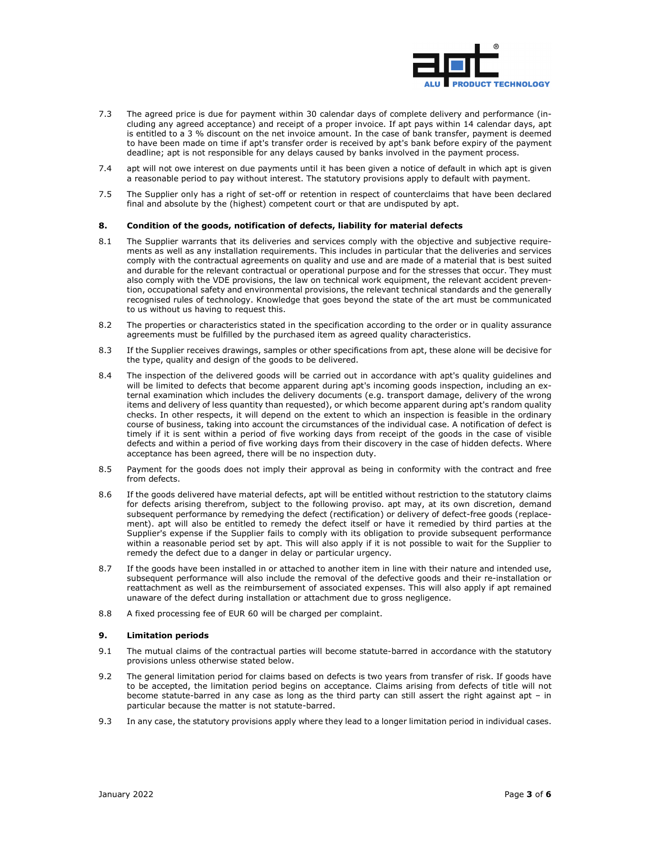

- 7.3 The agreed price is due for payment within 30 calendar days of complete delivery and performance (including any agreed acceptance) and receipt of a proper invoice. If apt pays within 14 calendar days, apt is entitled to a 3 % discount on the net invoice amount. In the case of bank transfer, payment is deemed to have been made on time if apt's transfer order is received by apt's bank before expiry of the payment deadline; apt is not responsible for any delays caused by banks involved in the payment process.
- 7.4 apt will not owe interest on due payments until it has been given a notice of default in which apt is given a reasonable period to pay without interest. The statutory provisions apply to default with payment.
- 7.5 The Supplier only has a right of set-off or retention in respect of counterclaims that have been declared final and absolute by the (highest) competent court or that are undisputed by apt.

### **8. Condition of the goods, notification of defects, liability for material defects**

- 8.1 The Supplier warrants that its deliveries and services comply with the objective and subjective requirements as well as any installation requirements. This includes in particular that the deliveries and services comply with the contractual agreements on quality and use and are made of a material that is best suited and durable for the relevant contractual or operational purpose and for the stresses that occur. They must also comply with the VDE provisions, the law on technical work equipment, the relevant accident prevention, occupational safety and environmental provisions, the relevant technical standards and the generally recognised rules of technology. Knowledge that goes beyond the state of the art must be communicated to us without us having to request this.
- 8.2 The properties or characteristics stated in the specification according to the order or in quality assurance agreements must be fulfilled by the purchased item as agreed quality characteristics.
- 8.3 If the Supplier receives drawings, samples or other specifications from apt, these alone will be decisive for the type, quality and design of the goods to be delivered.
- 8.4 The inspection of the delivered goods will be carried out in accordance with apt's quality guidelines and will be limited to defects that become apparent during apt's incoming goods inspection, including an external examination which includes the delivery documents (e.g. transport damage, delivery of the wrong items and delivery of less quantity than requested), or which become apparent during apt's random quality checks. In other respects, it will depend on the extent to which an inspection is feasible in the ordinary course of business, taking into account the circumstances of the individual case. A notification of defect is timely if it is sent within a period of five working days from receipt of the goods in the case of visible defects and within a period of five working days from their discovery in the case of hidden defects. Where acceptance has been agreed, there will be no inspection duty.
- 8.5 Payment for the goods does not imply their approval as being in conformity with the contract and free from defects.
- 8.6 If the goods delivered have material defects, apt will be entitled without restriction to the statutory claims for defects arising therefrom, subject to the following proviso. apt may, at its own discretion, demand subsequent performance by remedying the defect (rectification) or delivery of defect-free goods (replacement). apt will also be entitled to remedy the defect itself or have it remedied by third parties at the Supplier's expense if the Supplier fails to comply with its obligation to provide subsequent performance within a reasonable period set by apt. This will also apply if it is not possible to wait for the Supplier to remedy the defect due to a danger in delay or particular urgency.
- 8.7 If the goods have been installed in or attached to another item in line with their nature and intended use, subsequent performance will also include the removal of the defective goods and their re-installation or reattachment as well as the reimbursement of associated expenses. This will also apply if apt remained unaware of the defect during installation or attachment due to gross negligence.
- 8.8 A fixed processing fee of EUR 60 will be charged per complaint.

#### **9. Limitation periods**

- 9.1 The mutual claims of the contractual parties will become statute-barred in accordance with the statutory provisions unless otherwise stated below.
- 9.2 The general limitation period for claims based on defects is two years from transfer of risk. If goods have to be accepted, the limitation period begins on acceptance. Claims arising from defects of title will not become statute-barred in any case as long as the third party can still assert the right against apt – in particular because the matter is not statute-barred.
- 9.3 In any case, the statutory provisions apply where they lead to a longer limitation period in individual cases.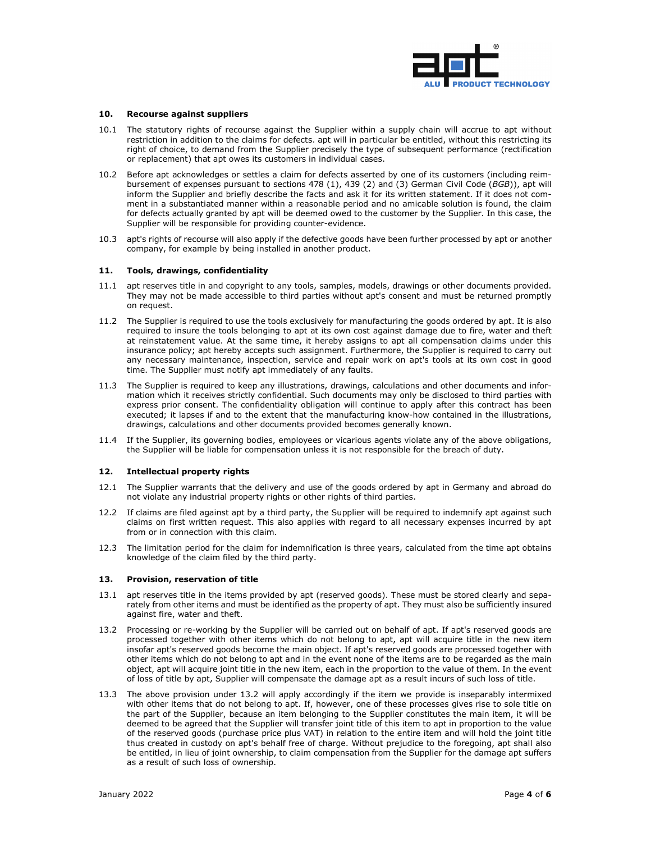

#### **10. Recourse against suppliers**

- 10.1 The statutory rights of recourse against the Supplier within a supply chain will accrue to apt without restriction in addition to the claims for defects. apt will in particular be entitled, without this restricting its right of choice, to demand from the Supplier precisely the type of subsequent performance (rectification or replacement) that apt owes its customers in individual cases.
- 10.2 Before apt acknowledges or settles a claim for defects asserted by one of its customers (including reimbursement of expenses pursuant to sections 478 (1), 439 (2) and (3) German Civil Code (*BGB*)), apt will inform the Supplier and briefly describe the facts and ask it for its written statement. If it does not comment in a substantiated manner within a reasonable period and no amicable solution is found, the claim for defects actually granted by apt will be deemed owed to the customer by the Supplier. In this case, the Supplier will be responsible for providing counter-evidence.
- 10.3 apt's rights of recourse will also apply if the defective goods have been further processed by apt or another company, for example by being installed in another product.

### **11. Tools, drawings, confidentiality**

- 11.1 apt reserves title in and copyright to any tools, samples, models, drawings or other documents provided. They may not be made accessible to third parties without apt's consent and must be returned promptly on request.
- 11.2 The Supplier is required to use the tools exclusively for manufacturing the goods ordered by apt. It is also required to insure the tools belonging to apt at its own cost against damage due to fire, water and theft at reinstatement value. At the same time, it hereby assigns to apt all compensation claims under this insurance policy; apt hereby accepts such assignment. Furthermore, the Supplier is required to carry out any necessary maintenance, inspection, service and repair work on apt's tools at its own cost in good time. The Supplier must notify apt immediately of any faults.
- 11.3 The Supplier is required to keep any illustrations, drawings, calculations and other documents and information which it receives strictly confidential. Such documents may only be disclosed to third parties with express prior consent. The confidentiality obligation will continue to apply after this contract has been executed; it lapses if and to the extent that the manufacturing know-how contained in the illustrations, drawings, calculations and other documents provided becomes generally known.
- 11.4 If the Supplier, its governing bodies, employees or vicarious agents violate any of the above obligations, the Supplier will be liable for compensation unless it is not responsible for the breach of duty.

#### **12. Intellectual property rights**

- 12.1 The Supplier warrants that the delivery and use of the goods ordered by apt in Germany and abroad do not violate any industrial property rights or other rights of third parties.
- 12.2 If claims are filed against apt by a third party, the Supplier will be required to indemnify apt against such claims on first written request. This also applies with regard to all necessary expenses incurred by apt from or in connection with this claim.
- 12.3 The limitation period for the claim for indemnification is three years, calculated from the time apt obtains knowledge of the claim filed by the third party.

### **13. Provision, reservation of title**

- 13.1 apt reserves title in the items provided by apt (reserved goods). These must be stored clearly and separately from other items and must be identified as the property of apt. They must also be sufficiently insured against fire, water and theft.
- 13.2 Processing or re-working by the Supplier will be carried out on behalf of apt. If apt's reserved goods are processed together with other items which do not belong to apt, apt will acquire title in the new item insofar apt's reserved goods become the main object. If apt's reserved goods are processed together with other items which do not belong to apt and in the event none of the items are to be regarded as the main object, apt will acquire joint title in the new item, each in the proportion to the value of them. In the event of loss of title by apt, Supplier will compensate the damage apt as a result incurs of such loss of title.
- 13.3 The above provision under 13.2 will apply accordingly if the item we provide is inseparably intermixed with other items that do not belong to apt. If, however, one of these processes gives rise to sole title on the part of the Supplier, because an item belonging to the Supplier constitutes the main item, it will be deemed to be agreed that the Supplier will transfer joint title of this item to apt in proportion to the value of the reserved goods (purchase price plus VAT) in relation to the entire item and will hold the joint title thus created in custody on apt's behalf free of charge. Without prejudice to the foregoing, apt shall also be entitled, in lieu of joint ownership, to claim compensation from the Supplier for the damage apt suffers as a result of such loss of ownership.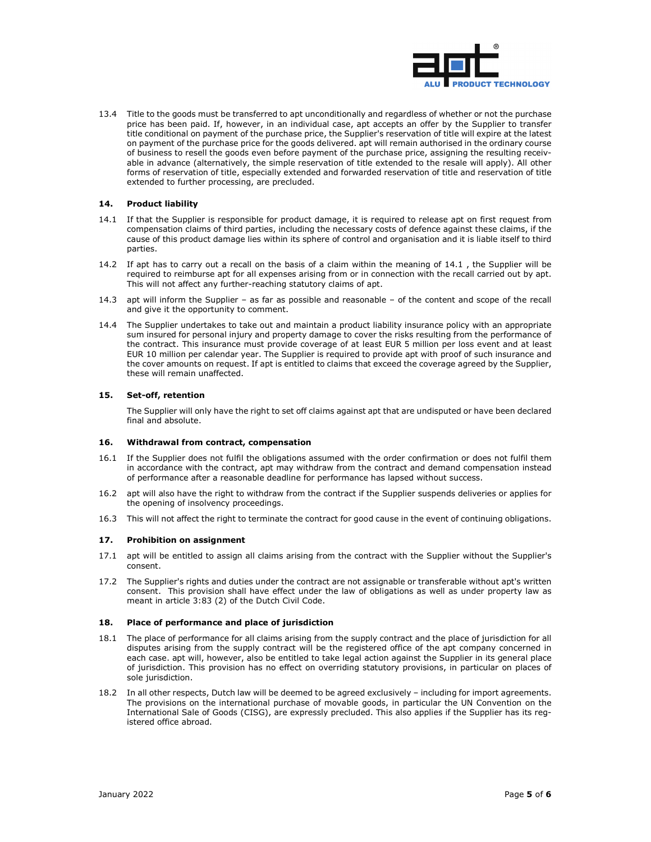

13.4 Title to the goods must be transferred to apt unconditionally and regardless of whether or not the purchase price has been paid. If, however, in an individual case, apt accepts an offer by the Supplier to transfer title conditional on payment of the purchase price, the Supplier's reservation of title will expire at the latest on payment of the purchase price for the goods delivered. apt will remain authorised in the ordinary course of business to resell the goods even before payment of the purchase price, assigning the resulting receivable in advance (alternatively, the simple reservation of title extended to the resale will apply). All other forms of reservation of title, especially extended and forwarded reservation of title and reservation of title extended to further processing, are precluded.

### **14. Product liability**

- 14.1 If that the Supplier is responsible for product damage, it is required to release apt on first request from compensation claims of third parties, including the necessary costs of defence against these claims, if the cause of this product damage lies within its sphere of control and organisation and it is liable itself to third parties.
- 14.2 If apt has to carry out a recall on the basis of a claim within the meaning of 14.1 , the Supplier will be required to reimburse apt for all expenses arising from or in connection with the recall carried out by apt. This will not affect any further-reaching statutory claims of apt.
- 14.3 apt will inform the Supplier as far as possible and reasonable of the content and scope of the recall and give it the opportunity to comment.
- 14.4 The Supplier undertakes to take out and maintain a product liability insurance policy with an appropriate sum insured for personal injury and property damage to cover the risks resulting from the performance of the contract. This insurance must provide coverage of at least EUR 5 million per loss event and at least EUR 10 million per calendar year. The Supplier is required to provide apt with proof of such insurance and the cover amounts on request. If apt is entitled to claims that exceed the coverage agreed by the Supplier, these will remain unaffected.

### **15. Set-off, retention**

The Supplier will only have the right to set off claims against apt that are undisputed or have been declared final and absolute.

#### **16. Withdrawal from contract, compensation**

- 16.1 If the Supplier does not fulfil the obligations assumed with the order confirmation or does not fulfil them in accordance with the contract, apt may withdraw from the contract and demand compensation instead of performance after a reasonable deadline for performance has lapsed without success.
- 16.2 apt will also have the right to withdraw from the contract if the Supplier suspends deliveries or applies for the opening of insolvency proceedings.
- 16.3 This will not affect the right to terminate the contract for good cause in the event of continuing obligations.

#### **17. Prohibition on assignment**

- 17.1 apt will be entitled to assign all claims arising from the contract with the Supplier without the Supplier's consent.
- 17.2 The Supplier's rights and duties under the contract are not assignable or transferable without apt's written consent. This provision shall have effect under the law of obligations as well as under property law as meant in article 3:83 (2) of the Dutch Civil Code.

#### **18. Place of performance and place of jurisdiction**

- 18.1 The place of performance for all claims arising from the supply contract and the place of jurisdiction for all disputes arising from the supply contract will be the registered office of the apt company concerned in each case. apt will, however, also be entitled to take legal action against the Supplier in its general place of jurisdiction. This provision has no effect on overriding statutory provisions, in particular on places of sole jurisdiction.
- 18.2 In all other respects, Dutch law will be deemed to be agreed exclusively including for import agreements. The provisions on the international purchase of movable goods, in particular the UN Convention on the International Sale of Goods (CISG), are expressly precluded. This also applies if the Supplier has its registered office abroad.